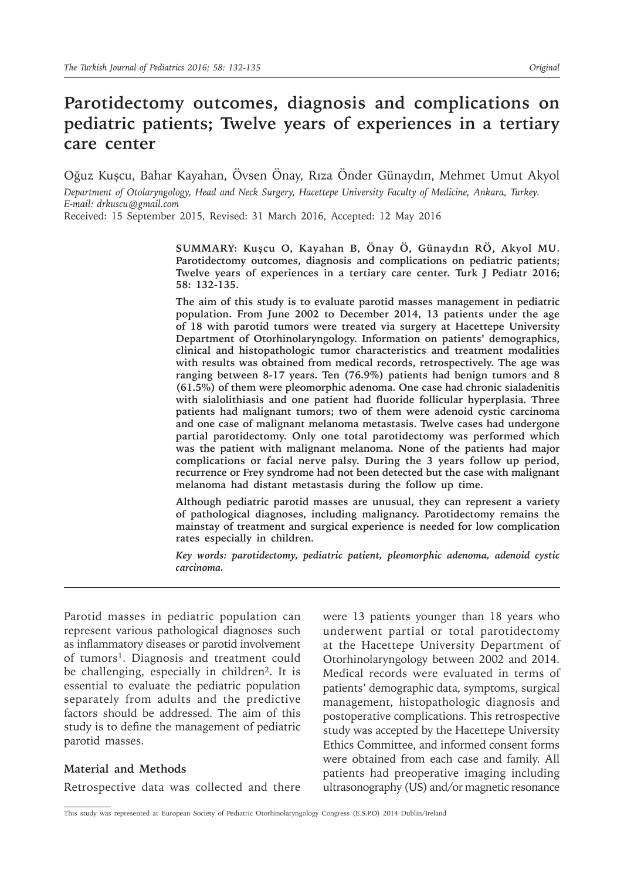# **Parotidectomy outcomes, diagnosis and complications on pediatric patients; Twelve years of experiences in a tertiary care center**

Oğuz Kuşcu, Bahar Kayahan, Övsen Önay, Rıza Önder Günaydın, Mehmet Umut Akyol

*Department of Otolaryngology, Head and Neck Surgery, Hacettepe University Faculty of Medicine, Ankara, Turkey. E-mail: drkuscu@gmail.com*

Received: 15 September 2015, Revised: 31 March 2016, Accepted: 12 May 2016

**SUMMARY: Kuşcu O, Kayahan B, Önay Ö, Günaydın RÖ, Akyol MU. Parotidectomy outcomes, diagnosis and complications on pediatric patients; Twelve years of experiences in a tertiary care center. Turk J Pediatr 2016; 58: 132-135.** 

**The aim of this study is to evaluate parotid masses management in pediatric population. From June 2002 to December 2014, 13 patients under the age of 18 with parotid tumors were treated via surgery at Hacettepe University Department of Otorhinolaryngology. Information on patients' demographics, clinical and histopathologic tumor characteristics and treatment modalities with results was obtained from medical records, retrospectively. The age was ranging between 8-17 years. Ten (76.9%) patients had benign tumors and 8 (61.5%) of them were pleomorphic adenoma. One case had chronic sialadenitis with sialolithiasis and one patient had fluoride follicular hyperplasia. Three patients had malignant tumors; two of them were adenoid cystic carcinoma and one case of malignant melanoma metastasis. Twelve cases had undergone partial parotidectomy. Only one total parotidectomy was performed which was the patient with malignant melanoma. None of the patients had major complications or facial nerve palsy. During the 3 years follow up period, recurrence or Frey syndrome had not been detected but the case with malignant melanoma had distant metastasis during the follow up time.** 

**Although pediatric parotid masses are unusual, they can represent a variety of pathological diagnoses, including malignancy. Parotidectomy remains the mainstay of treatment and surgical experience is needed for low complication rates especially in children.**

*Key words: parotidectomy, pediatric patient, pleomorphic adenoma, adenoid cystic carcinoma.*

Parotid masses in pediatric population can represent various pathological diagnoses such as inflammatory diseases or parotid involvement of tumors<sup>1</sup>. Diagnosis and treatment could be challenging, especially in children<sup>2</sup>. It is essential to evaluate the pediatric population separately from adults and the predictive factors should be addressed. The aim of this study is to define the management of pediatric parotid masses.

## **Material and Methods**

Retrospective data was collected and there

were 13 patients younger than 18 years who underwent partial or total parotidectomy at the Hacettepe University Department of Otorhinolaryngology between 2002 and 2014. Medical records were evaluated in terms of patients' demographic data, symptoms, surgical management, histopathologic diagnosis and postoperative complications. This retrospective study was accepted by the Hacettepe University Ethics Committee, and informed consent forms were obtained from each case and family. All patients had preoperative imaging including ultrasonography (US) and/or magnetic resonance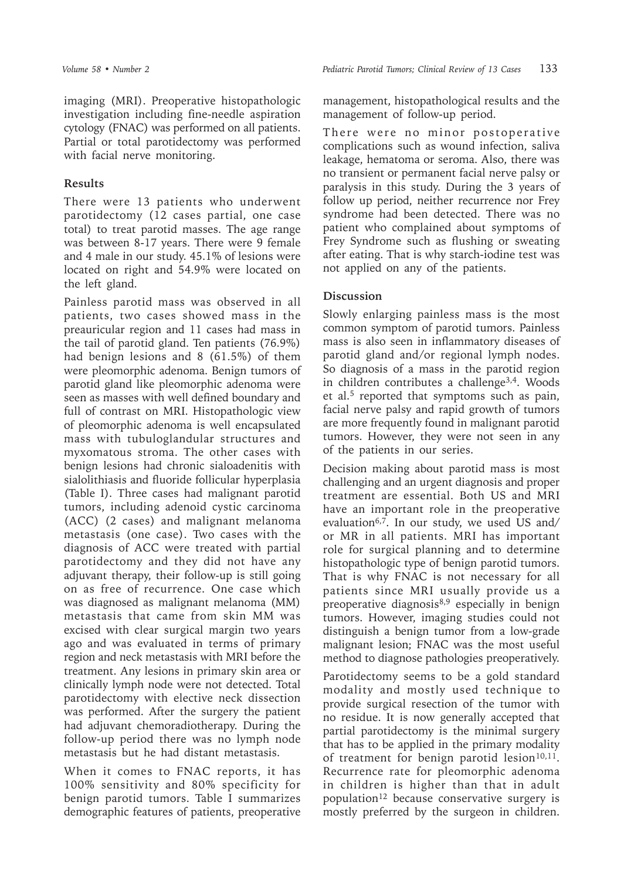imaging (MRI). Preoperative histopathologic investigation including fine-needle aspiration cytology (FNAC) was performed on all patients. Partial or total parotidectomy was performed with facial nerve monitoring.

# **Results**

There were 13 patients who underwent parotidectomy (12 cases partial, one case total) to treat parotid masses. The age range was between 8-17 years. There were 9 female and 4 male in our study. 45.1% of lesions were located on right and 54.9% were located on the left gland.

Painless parotid mass was observed in all patients, two cases showed mass in the preauricular region and 11 cases had mass in the tail of parotid gland. Ten patients (76.9%) had benign lesions and 8 (61.5%) of them were pleomorphic adenoma. Benign tumors of parotid gland like pleomorphic adenoma were seen as masses with well defined boundary and full of contrast on MRI. Histopathologic view of pleomorphic adenoma is well encapsulated mass with tubuloglandular structures and myxomatous stroma. The other cases with benign lesions had chronic sialoadenitis with sialolithiasis and fluoride follicular hyperplasia (Table I). Three cases had malignant parotid tumors, including adenoid cystic carcinoma (ACC) (2 cases) and malignant melanoma metastasis (one case). Two cases with the diagnosis of ACC were treated with partial parotidectomy and they did not have any adjuvant therapy, their follow-up is still going on as free of recurrence. One case which was diagnosed as malignant melanoma (MM) metastasis that came from skin MM was excised with clear surgical margin two years ago and was evaluated in terms of primary region and neck metastasis with MRI before the treatment. Any lesions in primary skin area or clinically lymph node were not detected. Total parotidectomy with elective neck dissection was performed. After the surgery the patient had adjuvant chemoradiotherapy. During the follow-up period there was no lymph node metastasis but he had distant metastasis.

When it comes to FNAC reports, it has 100% sensitivity and 80% specificity for benign parotid tumors. Table I summarizes demographic features of patients, preoperative

management, histopathological results and the management of follow-up period.

There were no minor postoperative complications such as wound infection, saliva leakage, hematoma or seroma. Also, there was no transient or permanent facial nerve palsy or paralysis in this study. During the 3 years of follow up period, neither recurrence nor Frey syndrome had been detected. There was no patient who complained about symptoms of Frey Syndrome such as flushing or sweating after eating. That is why starch-iodine test was not applied on any of the patients.

# **Discussion**

Slowly enlarging painless mass is the most common symptom of parotid tumors. Painless mass is also seen in inflammatory diseases of parotid gland and/or regional lymph nodes. So diagnosis of a mass in the parotid region in children contributes a challenge<sup>3,4</sup>. Woods et al.<sup>5</sup> reported that symptoms such as pain, facial nerve palsy and rapid growth of tumors are more frequently found in malignant parotid tumors. However, they were not seen in any of the patients in our series.

Decision making about parotid mass is most challenging and an urgent diagnosis and proper treatment are essential. Both US and MRI have an important role in the preoperative evaluation<sup>6,7</sup>. In our study, we used US and/ or MR in all patients. MRI has important role for surgical planning and to determine histopathologic type of benign parotid tumors. That is why FNAC is not necessary for all patients since MRI usually provide us a preoperative diagnosis8,9 especially in benign tumors. However, imaging studies could not distinguish a benign tumor from a low-grade malignant lesion; FNAC was the most useful method to diagnose pathologies preoperatively.

Parotidectomy seems to be a gold standard modality and mostly used technique to provide surgical resection of the tumor with no residue. It is now generally accepted that partial parotidectomy is the minimal surgery that has to be applied in the primary modality of treatment for benign parotid lesion $10,11$ . Recurrence rate for pleomorphic adenoma in children is higher than that in adult population<sup>12</sup> because conservative surgery is mostly preferred by the surgeon in children.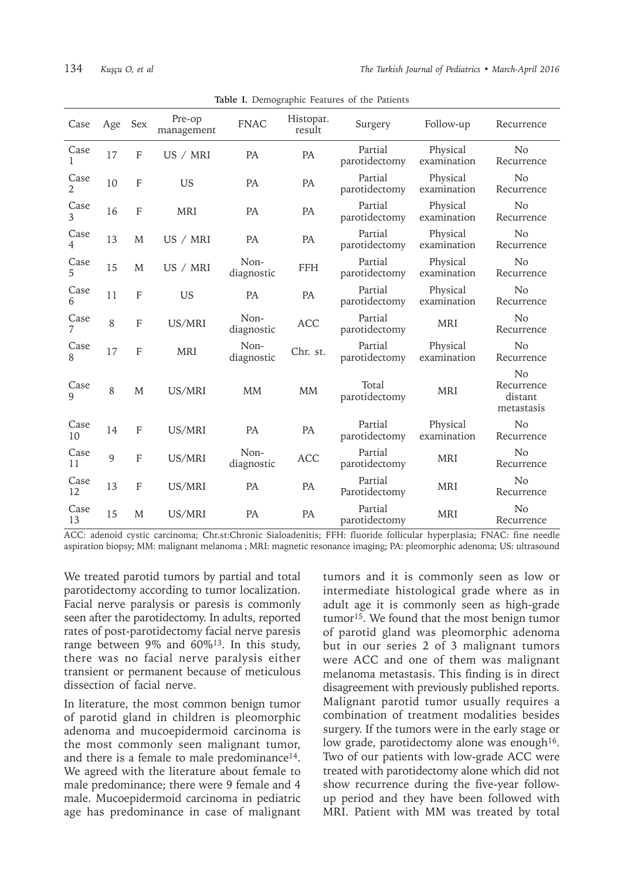| Case                   | Age          | <b>Sex</b>     | Pre-op<br>management | <b>FNAC</b>        | Histopat.<br>result | Surgery                  | Follow-up               | Recurrence                                            |
|------------------------|--------------|----------------|----------------------|--------------------|---------------------|--------------------------|-------------------------|-------------------------------------------------------|
| Case<br>1              | 17           | F              | US / MRI             | <b>PA</b>          | <b>PA</b>           | Partial<br>parotidectomy | Physical<br>examination | N <sub>o</sub><br>Recurrence                          |
| Case<br>2              | 10           | F              | <b>US</b>            | <b>PA</b>          | PA                  | Partial<br>parotidectomy | Physical<br>examination | N <sub>o</sub><br>Recurrence                          |
| Case<br>3              | 16           | $\overline{F}$ | <b>MRI</b>           | <b>PA</b>          | PA                  | Partial<br>parotidectomy | Physical<br>examination | No<br>Recurrence                                      |
| Case<br>$\overline{4}$ | 13           | M              | US / MRI             | PA                 | PA                  | Partial<br>parotidectomy | Physical<br>examination | N <sub>o</sub><br>Recurrence                          |
| Case<br>5              | 15           | M              | US / MRI             | Non-<br>diagnostic | <b>FFH</b>          | Partial<br>parotidectomy | Physical<br>examination | No<br>Recurrence                                      |
| Case<br>6              | 11           | F              | <b>US</b>            | PA                 | PA                  | Partial<br>parotidectomy | Physical<br>examination | N <sub>o</sub><br>Recurrence                          |
| Case                   | 8            | $\overline{F}$ | US/MRI               | Non-<br>diagnostic | <b>ACC</b>          | Partial<br>parotidectomy | <b>MRI</b>              | No<br>Recurrence                                      |
| Case                   | 17           | F              | <b>MRI</b>           | Non-<br>diagnostic | Chr. st.            | Partial<br>parotidectomy | Physical<br>examination | N <sub>o</sub><br>Recurrence                          |
| Case<br>$\mathbf Q$    | 8            | M              | US/MRI               | <b>MM</b>          | <b>MM</b>           | Total<br>parotidectomy   | <b>MRI</b>              | N <sub>o</sub><br>Recurrence<br>distant<br>metastasis |
| Case<br>10             | 14           | F              | US/MRI               | PA                 | PA                  | Partial<br>parotidectomy | Physical<br>examination | N <sub>o</sub><br>Recurrence                          |
| Case<br>11             | $\mathbf{Q}$ | $\mathbf F$    | US/MRI               | Non-<br>diagnostic | <b>ACC</b>          | Partial<br>parotidectomy | <b>MRI</b>              | No<br>Recurrence                                      |
| Case<br>12             | 13           | F              | US/MRI               | <b>PA</b>          | <b>PA</b>           | Partial<br>Parotidectomy | <b>MRI</b>              | N <sub>o</sub><br>Recurrence                          |
| Case<br>13             | 15           | M              | US/MRI               | <b>PA</b>          | PA                  | Partial<br>parotidectomy | <b>MRI</b>              | N <sub>o</sub><br>Recurrence                          |

**Table I.** Demographic Features of the Patients

ACC: adenoid cystic carcinoma; Chr.st:Chronic Sialoadenitis; FFH: fluoride follicular hyperplasia; FNAC: fine needle aspiration biopsy; MM: malignant melanoma ; MRI: magnetic resonance imaging; PA: pleomorphic adenoma; US: ultrasound

We treated parotid tumors by partial and total parotidectomy according to tumor localization. Facial nerve paralysis or paresis is commonly seen after the parotidectomy. In adults, reported rates of post-parotidectomy facial nerve paresis range between 9% and  $60\%$ <sup>13</sup>. In this study, there was no facial nerve paralysis either transient or permanent because of meticulous dissection of facial nerve.

In literature, the most common benign tumor of parotid gland in children is pleomorphic adenoma and mucoepidermoid carcinoma is the most commonly seen malignant tumor, and there is a female to male predominance<sup>14</sup>. We agreed with the literature about female to male predominance; there were 9 female and 4 male. Mucoepidermoid carcinoma in pediatric age has predominance in case of malignant

tumors and it is commonly seen as low or intermediate histological grade where as in adult age it is commonly seen as high-grade tumor<sup>15</sup>. We found that the most benign tumor of parotid gland was pleomorphic adenoma but in our series 2 of 3 malignant tumors were ACC and one of them was malignant melanoma metastasis. This finding is in direct disagreement with previously published reports. Malignant parotid tumor usually requires a combination of treatment modalities besides surgery. If the tumors were in the early stage or low grade, parotidectomy alone was enough<sup>16</sup>. Two of our patients with low-grade ACC were treated with parotidectomy alone which did not show recurrence during the five-year followup period and they have been followed with MRI. Patient with MM was treated by total